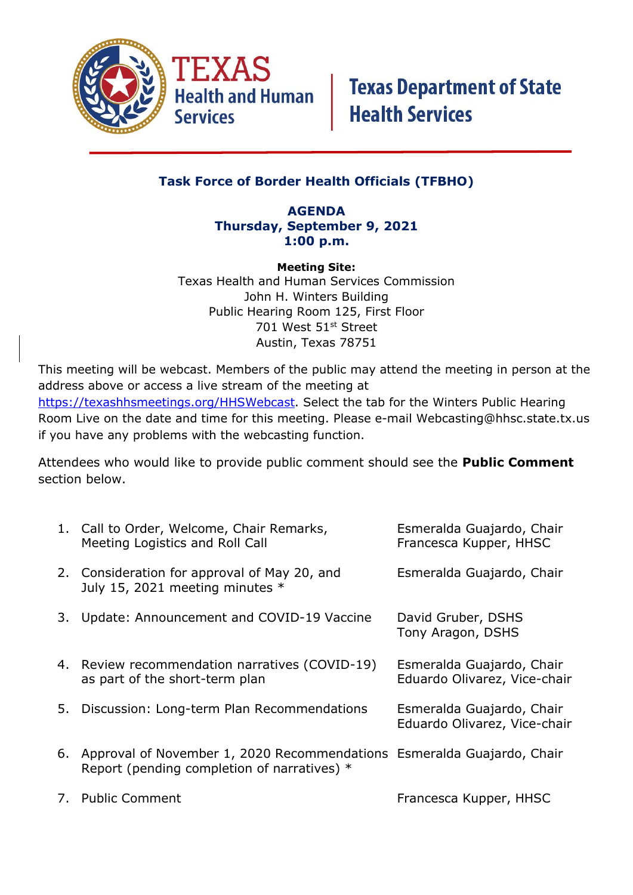

if you have any problems with the webcasting function.

## **Task Force of Border Health Officials (TFBHO)**

#### **AGENDA Thursday, September 9, 2021 1:00 p.m.**

**Meeting Site:** Texas Health and Human Services Commission John H. Winters Building Public Hearing Room 125, First Floor 701 West 51st Street Austin, Texas 78751

This meeting will be webcast. Members of the public may attend the meeting in person at the address above or access a live stream of the meeting at [https://texashhsmeetings.org/HHSWebcast.](https://texashhsmeetings.org/HHSWebcast) Select the tab for the Winters Public Hearing Room Live on the date and time for this meeting. Please e-mail [Webcasting@hhsc.state.tx.us](mailto:Webcasting@hhsc.state.tx.us)

Attendees who would like to provide public comment should see the **Public Comment** section below.

|    | 1. Call to Order, Welcome, Chair Remarks,<br>Meeting Logistics and Roll Call                                               | Esmeralda Guajardo, Chair<br>Francesca Kupper, HHSC       |
|----|----------------------------------------------------------------------------------------------------------------------------|-----------------------------------------------------------|
|    | 2. Consideration for approval of May 20, and<br>July 15, 2021 meeting minutes *                                            | Esmeralda Guajardo, Chair                                 |
| 3. | Update: Announcement and COVID-19 Vaccine                                                                                  | David Gruber, DSHS<br>Tony Aragon, DSHS                   |
|    | 4. Review recommendation narratives (COVID-19)<br>as part of the short-term plan                                           | Esmeralda Guajardo, Chair<br>Eduardo Olivarez, Vice-chair |
| 5. | Discussion: Long-term Plan Recommendations                                                                                 | Esmeralda Guajardo, Chair<br>Eduardo Olivarez, Vice-chair |
|    | 6. Approval of November 1, 2020 Recommendations Esmeralda Guajardo, Chair<br>Report (pending completion of narratives) $*$ |                                                           |
| 7. | <b>Public Comment</b>                                                                                                      | Francesca Kupper, HHSC                                    |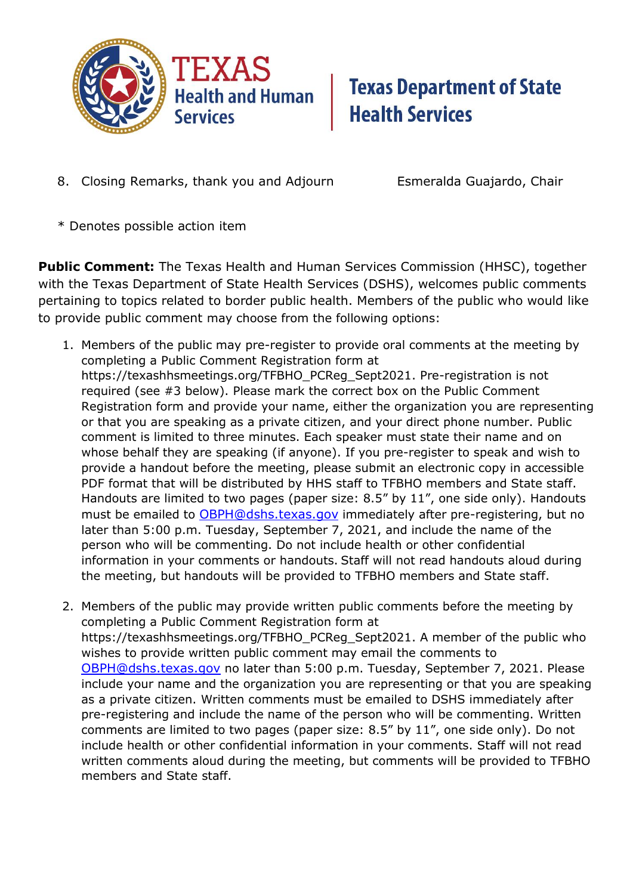

## **Texas Department of State Health Services**

8. Closing Remarks, thank you and Adjourn Esmeralda Guajardo, Chair

\* Denotes possible action item

**Public Comment:** The Texas Health and Human Services Commission (HHSC), together with the Texas Department of State Health Services (DSHS), welcomes public comments pertaining to topics related to border public health. Members of the public who would like to provide public comment may choose from the following options:

- 1. Members of the public may pre-register to provide oral comments at the meeting by completing a Public Comment Registration form at https://texashhsmeetings.org/TFBHO\_PCReg\_Sept2021. Pre-registration is not required (see #3 below). Please mark the correct box on the Public Comment Registration form and provide your name, either the organization you are representing or that you are speaking as a private citizen, and your direct phone number. Public comment is limited to three minutes. Each speaker must state their name and on whose behalf they are speaking (if anyone). If you pre-register to speak and wish to provide a handout before the meeting, please submit an electronic copy in accessible PDF format that will be distributed by HHS staff to TFBHO members and State staff. Handouts are limited to two pages (paper size: 8.5" by 11", one side only). Handouts must be emailed to **[OBPH@dshs.texas.gov](mailto:OBPH@dshs.texas.gov)** immediately after pre-registering, but no later than 5:00 p.m. Tuesday, September 7, 2021, and include the name of the person who will be commenting. Do not include health or other confidential information in your comments or handouts. Staff will not read handouts aloud during the meeting, but handouts will be provided to TFBHO members and State staff.
- 2. Members of the public may provide written public comments before the meeting by completing a Public Comment Registration form at https://texashhsmeetings.org/TFBHO\_PCReg\_Sept2021. A member of the public who wishes to provide written public comment may email the comments to [OBPH@dshs.texas.gov](mailto:OBPH@dshs.texas.gov) no later than 5:00 p.m. Tuesday, September 7, 2021. Please include your name and the organization you are representing or that you are speaking as a private citizen. Written comments must be emailed to DSHS immediately after pre-registering and include the name of the person who will be commenting. Written comments are limited to two pages (paper size: 8.5" by 11", one side only). Do not include health or other confidential information in your comments. Staff will not read written comments aloud during the meeting, but comments will be provided to TFBHO members and State staff.